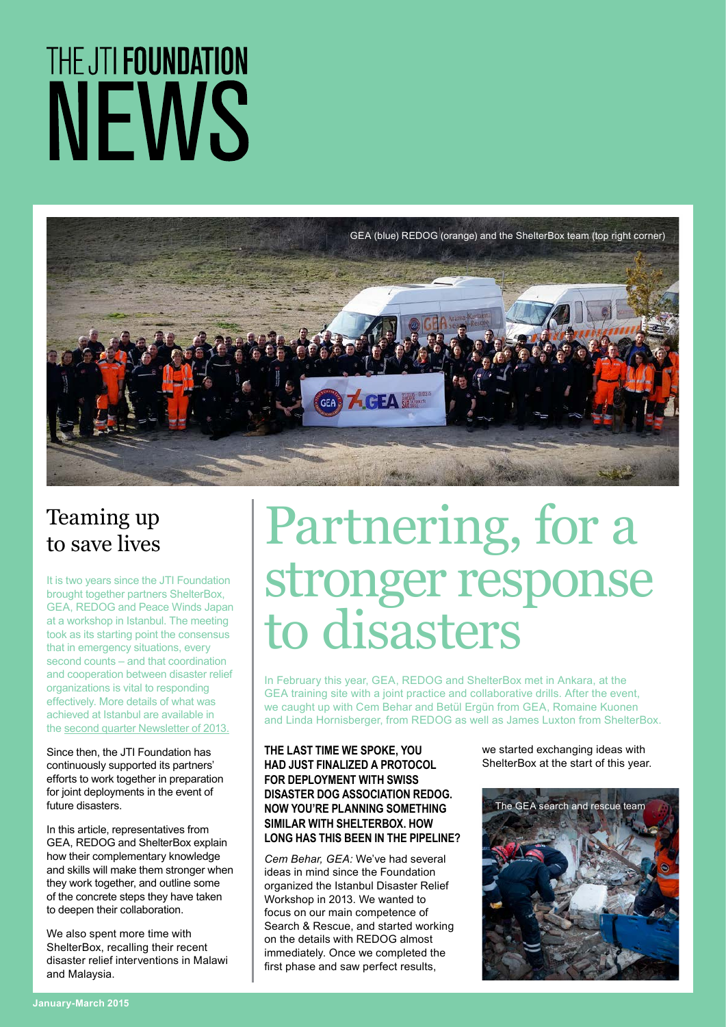# THE JTI FOUNDATION NEWS



### Teaming up to save lives

It is two years since the JTI Foundation brought together partners ShelterBox, GEA, REDOG and Peace Winds Japan at a workshop in Istanbul. The meeting took as its starting point the consensus that in emergency situations, every second counts – and that coordination and cooperation between disaster relief organizations is vital to responding effectively. More details of what was achieved at Istanbul are available in the [second quarter Newsletter of 2013.](http://jtifoundation.org/files/3413/8986/0914/JTI_Foundation_Newsletter_April_June_2013.pdf)

Since then, the JTI Foundation has continuously supported its partners' efforts to work together in preparation for joint deployments in the event of future disasters.

In this article, representatives from GEA, REDOG and ShelterBox explain how their complementary knowledge and skills will make them stronger when they work together, and outline some of the concrete steps they have taken to deepen their collaboration.

We also spent more time with ShelterBox, recalling their recent disaster relief interventions in Malawi and Malaysia.

## Partnering, for a stronger response to disasters

In February this year, GEA, REDOG and ShelterBox met in Ankara, at the GEA training site with a joint practice and collaborative drills. After the event, we caught up with Cem Behar and Betül Ergün from GEA, Romaine Kuonen and Linda Hornisberger, from REDOG as well as James Luxton from ShelterBox.

### **THE LAST TIME WE SPOKE, YOU HAD JUST FINALIZED A PROTOCOL FOR DEPLOYMENT WITH SWISS DISASTER DOG ASSOCIATION REDOG. NOW YOU'RE PLANNING SOMETHING SIMILAR WITH SHELTERBOX. HOW LONG HAS THIS BEEN IN THE PIPELINE?**

*Cem Behar, GEA:* We've had several ideas in mind since the Foundation organized the Istanbul Disaster Relief Workshop in 2013. We wanted to focus on our main competence of Search & Rescue, and started working on the details with REDOG almost immediately. Once we completed the first phase and saw perfect results,

we started exchanging ideas with ShelterBox at the start of this year.

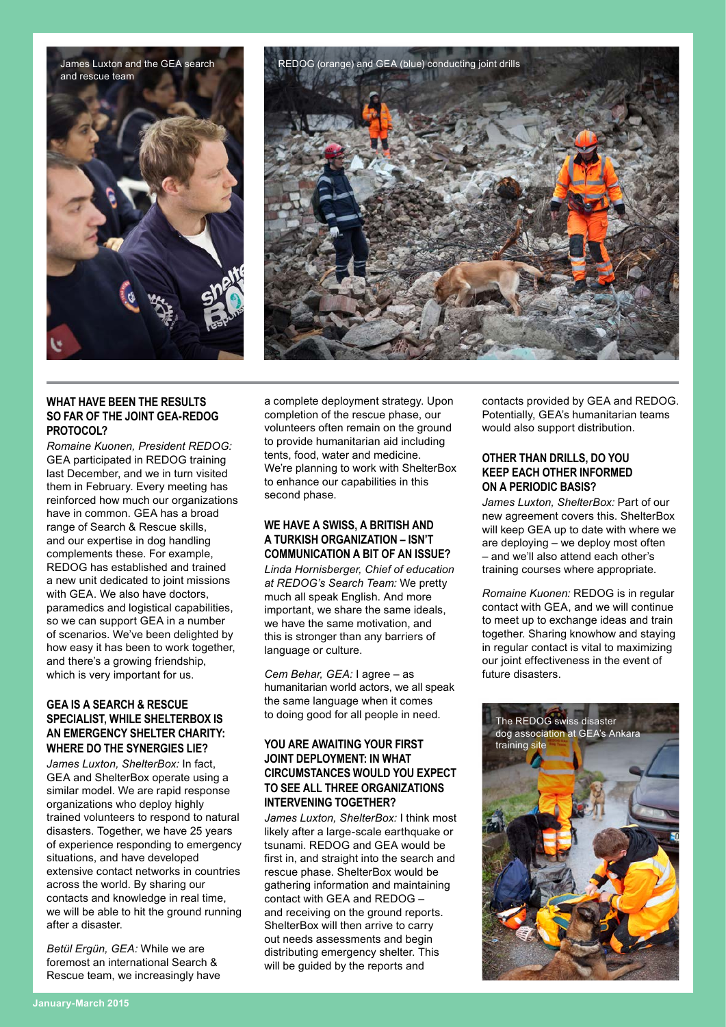James Luxton and the GEA search and rescue team





### WHAT HAVE **BEEN THE RESULTS SO FAR OF THE JOINT GEA-REDOG PROTOCOL?**

*Romaine Kuonen, President REDOG:*  GEA participated in REDOG training last December, and we in turn visited them in February. Every meeting has reinforced how much our organizations have in common. GEA has a broad range of Search & Rescue skills, and our expertise in dog handling complements these. For example, REDOG has established and trained a new unit dedicated to joint missions with GEA. We also have doctors, paramedics and logistical capabilities, so we can support GEA in a number of scenarios. We've been delighted by how easy it has been to work together, and there's a growing friendship, which is very important for us.

### **GEA IS A SEARCH & RESCUE SPECIALIST, WHILE SHELTERBOX IS AN EMERGENCY SHELTER CHARITY: WHERE DO THE SYNERGIES LIE?**

*James Luxton, ShelterBox:* In fact, GEA and ShelterBox operate using a similar model. We are rapid response organizations who deploy highly trained volunteers to respond to natural disasters. Together, we have 25 years of experience responding to emergency situations, and have developed extensive contact networks in countries across the world. By sharing our contacts and knowledge in real time, we will be able to hit the ground running after a disaster.

*Betül Ergün, GEA:* While we are foremost an international Search & Rescue team, we increasingly have a complete deployment strategy. Upon completion of the rescue phase, our volunteers often remain on the ground to provide humanitarian aid including tents, food, water and medicine. We're planning to work with ShelterBox to enhance our capabilities in this second phase.

### **WE HAVE A SWISS, A BRITISH AND A TURKISH ORGANIZATION – ISN'T COMMUNICATION A BIT OF AN ISSUE?**

*Linda Hornisberger, Chief of education at REDOG's Search Team:* We pretty much all speak English. And more important, we share the same ideals, we have the same motivation, and this is stronger than any barriers of language or culture.

*Cem Behar, GEA:* I agree – as humanitarian world actors, we all speak the same language when it comes to doing good for all people in need.

### **YOU ARE AWAITING YOUR FIRST JOINT DEPLOYMENT: IN WHAT CIRCUMSTANCES WOULD YOU EXPECT TO SEE ALL THREE ORGANIZATIONS INTERVENING TOGETHER?**

*James Luxton, ShelterBox:* I think most likely after a large-scale earthquake or tsunami. REDOG and GEA would be first in, and straight into the search and rescue phase. ShelterBox would be gathering information and maintaining contact with GEA and REDOG – and receiving on the ground reports. ShelterBox will then arrive to carry out needs assessments and begin distributing emergency shelter. This will be guided by the reports and

contacts provided by GEA and REDOG. Potentially, GEA's humanitarian teams would also support distribution.

### **OTHER THAN DRILLS, DO YOU KEEP EACH OTHER INFORMED ON A PERIODIC BASIS?**

*James Luxton, ShelterBox:* Part of our new agreement covers this. ShelterBox will keep GEA up to date with where we are deploying – we deploy most often – and we'll also attend each other's training courses where appropriate.

*Romaine Kuonen:* REDOG is in regular contact with GEA, and we will continue to meet up to exchange ideas and train together. Sharing knowhow and staying in regular contact is vital to maximizing our joint effectiveness in the event of future disasters.

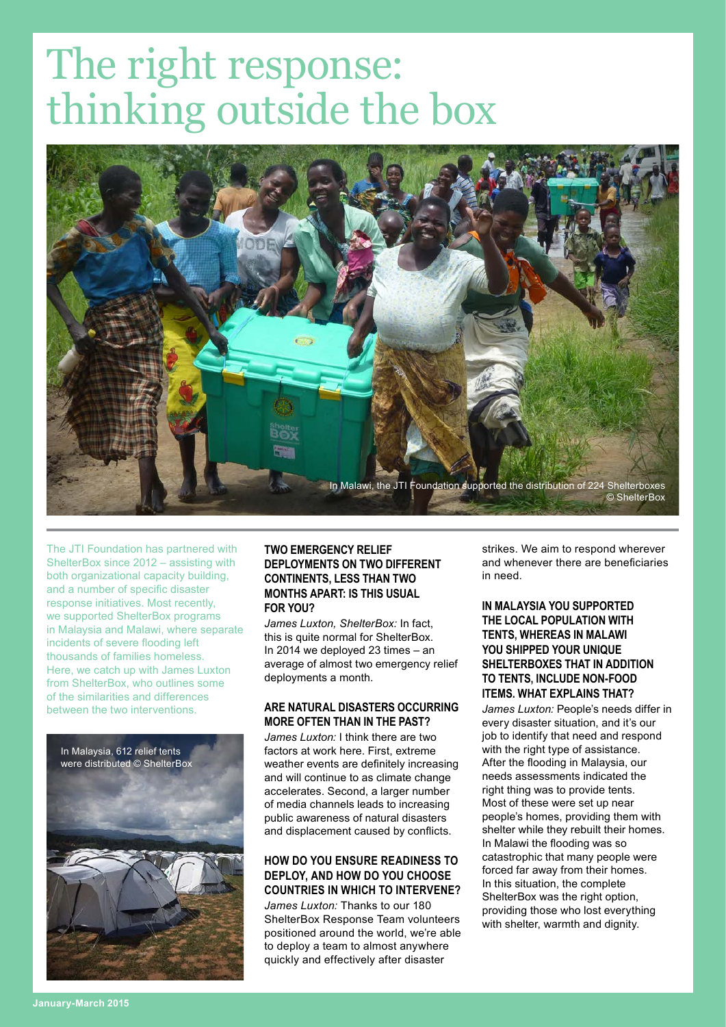### The right response: thinking outside the box



The JTI Foundation has partnered with ShelterBox since 2012 – assisting with both organizational capacity building, and a number of specific disaster response initiatives. Most recently, we supported ShelterBox programs in Malaysia and Malawi, where separate incidents of severe flooding left thousands of families homeless. Here, we catch up with James Luxton from ShelterBox, who outlines some of the similarities and differences between the two interventions.



### **TWO EMERGENCY RELIEF DEPLOYMENTS ON TWO DIFFERENT CONTINENTS, LESS THAN TWO MONTHS APART: IS THIS USUAL FOR YOU?**

*James Luxton, ShelterBox:* In fact, this is quite normal for ShelterBox. In 2014 we deployed 23 times – an average of almost two emergency relief deployments a month.

#### **ARE NATURAL DISASTERS OCCURRING MORE OFTEN THAN IN THE PAST?**

*James Luxton:* I think there are two factors at work here. First, extreme weather events are definitely increasing and will continue to as climate change accelerates. Second, a larger number of media channels leads to increasing public awareness of natural disasters and displacement caused by conflicts.

### **HOW DO YOU ENSURE READINESS TO DEPLOY, AND HOW DO YOU CHOOSE COUNTRIES IN WHICH TO INTERVENE?**

*James Luxton:* Thanks to our 180 ShelterBox Response Team volunteers positioned around the world, we're able to deploy a team to almost anywhere quickly and effectively after disaster

strikes. We aim to respond wherever and whenever there are beneficiaries in need.

### **IN MALAYSIA YOU SUPPORTED THE LOCAL POPULATION WITH TENTS, WHEREAS IN MALAWI YOU SHIPPED YOUR UNIQUE SHELTERBOXES THAT IN ADDITION TO TENTS, INCLUDE NON-FOOD ITEMS. WHAT EXPLAINS THAT?**

*James Luxton:* People's needs differ in every disaster situation, and it's our job to identify that need and respond with the right type of assistance. After the flooding in Malaysia, our needs assessments indicated the right thing was to provide tents. Most of these were set up near people's homes, providing them with shelter while they rebuilt their homes. In Malawi the flooding was so catastrophic that many people were forced far away from their homes. In this situation, the complete ShelterBox was the right option, providing those who lost everything with shelter, warmth and dignity.